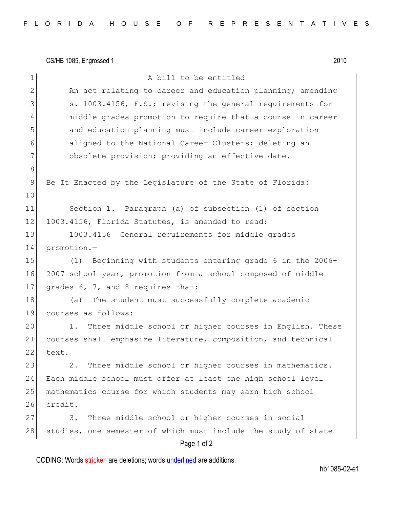CS/HB 1085, Engrossed 1 2010

| $\mathbf 1$  | A bill to be entitled                                          |
|--------------|----------------------------------------------------------------|
| $\mathbf{2}$ | An act relating to career and education planning; amending     |
| 3            | s. 1003.4156, F.S.; revising the general requirements for      |
| 4            | middle grades promotion to require that a course in career     |
| 5            | and education planning must include career exploration         |
| 6            | aligned to the National Career Clusters; deleting an           |
| 7            | obsolete provision; providing an effective date.               |
| 8            |                                                                |
| 9            | Be It Enacted by the Legislature of the State of Florida:      |
| 10           |                                                                |
| 11           | Section 1. Paragraph (a) of subsection (1) of section          |
| 12           | 1003.4156, Florida Statutes, is amended to read:               |
| 13           | 1003.4156 General requirements for middle grades               |
| 14           | promotion.-                                                    |
| 15           | Beginning with students entering grade 6 in the 2006-<br>(1)   |
| 16           | 2007 school year, promotion from a school composed of middle   |
| 17           | grades 6, 7, and 8 requires that:                              |
| 18           | The student must successfully complete academic<br>(a)         |
| 19           | courses as follows:                                            |
| 20           | Three middle school or higher courses in English. These<br>1.  |
| 21           | courses shall emphasize literature, composition, and technical |
| 22           | text.                                                          |
| 23           | Three middle school or higher courses in mathematics.<br>2.    |
| 24           | Each middle school must offer at least one high school level   |
| 25           | mathematics course for which students may earn high school     |
| 26           | credit.                                                        |
| 27           | Three middle school or higher courses in social<br>3.          |
| 28           | studies, one semester of which must include the study of state |
|              | Page 1 of 2                                                    |

CODING: Words stricken are deletions; words underlined are additions.

hb1085-02-e1